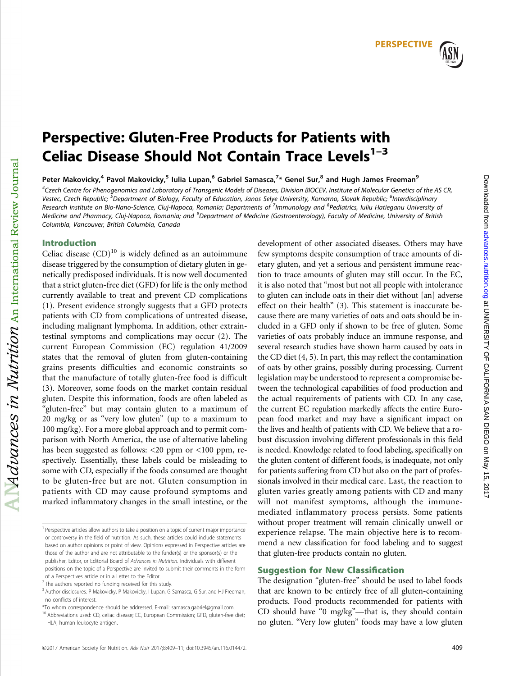# Perspective: Gluten-Free Products for Patients with Celiac Disease Should Not Contain Trace Levels $1-3$

Peter Makovicky,<sup>4</sup> Pavol Makovicky,<sup>5</sup> Iulia Lupan,<sup>6</sup> Gabriel Samasca,<sup>7</sup>\* Genel Sur,<sup>8</sup> and Hugh James Freeman<sup>9</sup>

4 Czech Centre for Phenogenomics and Laboratory of Transgenic Models of Diseases, Division BIOCEV, Institute of Molecular Genetics of the AS CR, Vestec, Czech Republic; <sup>5</sup>Department of Biology, Faculty of Education, Janos Selye University, Komarno, Slovak Republic; <sup>6</sup>Interdisciplinary Research Institute on Bio-Nano-Science, Cluj-Napoca, Romania; Departments of <sup>7</sup>Immunology and <sup>8</sup>Pediatrics, Iuliu Hatieganu University of Medicine and Pharmacy, Cluj-Napoca, Romania; and <sup>9</sup>Department of Medicine (Gastroenterology), Faculty of Medicine, University of British Columbia, Vancouver, British Columbia, Canada

# Introduction

 $Md$ uances in Nutrition  $_{\rm An\ International\ Review\ Journal}$ 

Celiac disease  $(CD)^{10}$  is widely defined as an autoimmune disease triggered by the consumption of dietary gluten in genetically predisposed individuals. It is now well documented that a strict gluten-free diet (GFD) for life is the only method currently available to treat and prevent CD complications (1). Present evidence strongly suggests that a GFD protects patients with CD from complications of untreated disease, including malignant lymphoma. In addition, other extraintestinal symptoms and complications may occur (2). The current European Commission (EC) regulation 41/2009 states that the removal of gluten from gluten-containing grains presents difficulties and economic constraints so that the manufacture of totally gluten-free food is difficult (3). Moreover, some foods on the market contain residual gluten. Despite this information, foods are often labeled as "gluten-free" but may contain gluten to a maximum of 20 mg/kg or as "very low gluten" (up to a maximum to 100 mg/kg). For a more global approach and to permit comparison with North America, the use of alternative labeling has been suggested as follows: <20 ppm or <100 ppm, respectively. Essentially, these labels could be misleading to some with CD, especially if the foods consumed are thought to be gluten-free but are not. Gluten consumption in patients with CD may cause profound symptoms and marked inflammatory changes in the small intestine, or the development of other associated diseases. Others may have few symptoms despite consumption of trace amounts of dietary gluten, and yet a serious and persistent immune reaction to trace amounts of gluten may still occur. In the EC, it is also noted that "most but not all people with intolerance to gluten can include oats in their diet without [an] adverse effect on their health" (3). This statement is inaccurate because there are many varieties of oats and oats should be included in a GFD only if shown to be free of gluten. Some varieties of oats probably induce an immune response, and several research studies have shown harm caused by oats in the CD diet (4, 5). In part, this may reflect the contamination of oats by other grains, possibly during processing. Current legislation may be understood to represent a compromise between the technological capabilities of food production and the actual requirements of patients with CD. In any case, the current EC regulation markedly affects the entire European food market and may have a significant impact on the lives and health of patients with CD. We believe that a robust discussion involving different professionals in this field is needed. Knowledge related to food labeling, specifically on the gluten content of different foods, is inadequate, not only for patients suffering from CD but also on the part of professionals involved in their medical care. Last, the reaction to gluten varies greatly among patients with CD and many will not manifest symptoms, although the immunemediated inflammatory process persists. Some patients without proper treatment will remain clinically unwell or experience relapse. The main objective here is to recommend a new classification for food labeling and to suggest that gluten-free products contain no gluten.

# Suggestion for New Classification

The designation "gluten-free" should be used to label foods that are known to be entirely free of all gluten-containing products. Food products recommended for patients with CD should have "0 mg/kg"—that is, they should contain no gluten. "Very low gluten" foods may have a low gluten

<sup>&</sup>lt;sup>1</sup> Perspective articles allow authors to take a position on a topic of current major importance or controversy in the field of nutrition. As such, these articles could include statements based on author opinions or point of view. Opinions expressed in Perspective articles are those of the author and are not attributable to the funder(s) or the sponsor(s) or the publisher, Editor, or Editorial Board of Advances in Nutrition. Individuals with different positions on the topic of a Perspective are invited to submit their comments in the form of a Perspectives article or in a Letter to the Editor.

 $2$  The authors reported no funding received for this study.

<sup>&</sup>lt;sup>3</sup> Author disclosures: P Makovicky, P Makovicky, I Lupan, G Samasca, G Sur, and HJ Freeman, no conflicts of interest.

<sup>\*</sup>To whom correspondence should be addressed. E-mail: samasca.gabriel@gmail.com.

<sup>&</sup>lt;sup>10</sup> Abbreviations used: CD, celiac disease; EC, European Commission; GFD, gluten-free diet; HLA, human leukocyte antigen.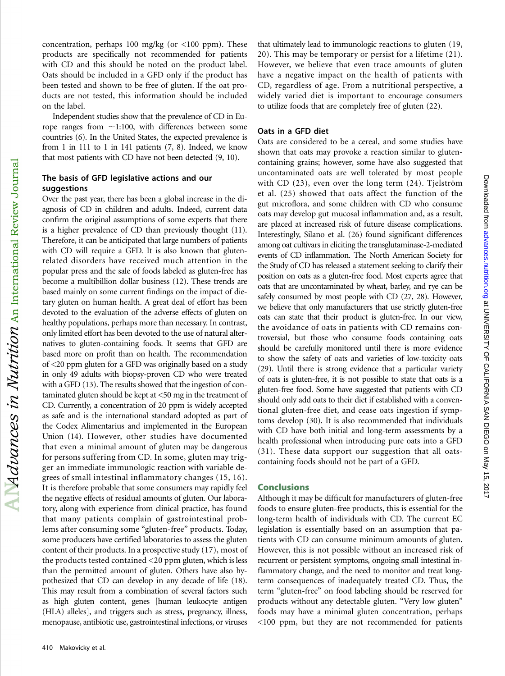concentration, perhaps 100 mg/kg (or  $\lt 100$  ppm). These products are specifically not recommended for patients with CD and this should be noted on the product label. Oats should be included in a GFD only if the product has been tested and shown to be free of gluten. If the oat products are not tested, this information should be included on the label.

Independent studies show that the prevalence of CD in Europe ranges from  $\sim$ 1:100, with differences between some countries (6). In the United States, the expected prevalence is from 1 in 111 to 1 in 141 patients (7, 8). Indeed, we know that most patients with CD have not been detected (9, 10).

## The basis of GFD legislative actions and our suggestions

Over the past year, there has been a global increase in the diagnosis of CD in children and adults. Indeed, current data confirm the original assumptions of some experts that there is a higher prevalence of CD than previously thought (11). Therefore, it can be anticipated that large numbers of patients with CD will require a GFD. It is also known that glutenrelated disorders have received much attention in the popular press and the sale of foods labeled as gluten-free has become a multibillion dollar business (12). These trends are based mainly on some current findings on the impact of dietary gluten on human health. A great deal of effort has been devoted to the evaluation of the adverse effects of gluten on healthy populations, perhaps more than necessary. In contrast, only limited effort has been devoted to the use of natural alternatives to gluten-containing foods. It seems that GFD are based more on profit than on health. The recommendation of <20 ppm gluten for a GFD was originally based on a study in only 49 adults with biopsy-proven CD who were treated with a GFD (13). The results showed that the ingestion of contaminated gluten should be kept at <50 mg in the treatment of CD. Currently, a concentration of 20 ppm is widely accepted as safe and is the international standard adopted as part of the Codex Alimentarius and implemented in the European Union (14). However, other studies have documented that even a minimal amount of gluten may be dangerous for persons suffering from CD. In some, gluten may trigger an immediate immunologic reaction with variable degrees of small intestinal inflammatory changes (15, 16). It is therefore probable that some consumers may rapidly feel the negative effects of residual amounts of gluten. Our laboratory, along with experience from clinical practice, has found that many patients complain of gastrointestinal problems after consuming some "gluten-free" products. Today, some producers have certified laboratories to assess the gluten content of their products. In a prospective study (17), most of the products tested contained <20 ppm gluten, which is less than the permitted amount of gluten. Others have also hypothesized that CD can develop in any decade of life (18). This may result from a combination of several factors such as high gluten content, genes [human leukocyte antigen (HLA) alleles], and triggers such as stress, pregnancy, illness, menopause, antibiotic use, gastrointestinal infections, or viruses

that ultimately lead to immunologic reactions to gluten (19, 20). This may be temporary or persist for a lifetime (21). However, we believe that even trace amounts of gluten have a negative impact on the health of patients with CD, regardless of age. From a nutritional perspective, a widely varied diet is important to encourage consumers to utilize foods that are completely free of gluten (22).

#### Oats in a GFD diet

Oats are considered to be a cereal, and some studies have shown that oats may provoke a reaction similar to glutencontaining grains; however, some have also suggested that uncontaminated oats are well tolerated by most people with CD (23), even over the long term (24). Tjelström et al. (25) showed that oats affect the function of the gut microflora, and some children with CD who consume oats may develop gut mucosal inflammation and, as a result, are placed at increased risk of future disease complications. Interestingly, Silano et al. (26) found significant differences among oat cultivars in eliciting the transglutaminase-2-mediated events of CD inflammation. The North American Society for the Study of CD has released a statement seeking to clarify their position on oats as a gluten-free food. Most experts agree that oats that are uncontaminated by wheat, barley, and rye can be safely consumed by most people with CD (27, 28). However, we believe that only manufacturers that use strictly gluten-free oats can state that their product is gluten-free. In our view, the avoidance of oats in patients with CD remains controversial, but those who consume foods containing oats should be carefully monitored until there is more evidence to show the safety of oats and varieties of low-toxicity oats (29). Until there is strong evidence that a particular variety of oats is gluten-free, it is not possible to state that oats is a gluten-free food. Some have suggested that patients with CD should only add oats to their diet if established with a conventional gluten-free diet, and cease oats ingestion if symptoms develop (30). It is also recommended that individuals with CD have both initial and long-term assessments by a health professional when introducing pure oats into a GFD (31). These data support our suggestion that all oatscontaining foods should not be part of a GFD.

#### Conclusions

Although it may be difficult for manufacturers of gluten-free foods to ensure gluten-free products, this is essential for the long-term health of individuals with CD. The current EC legislation is essentially based on an assumption that patients with CD can consume minimum amounts of gluten. However, this is not possible without an increased risk of recurrent or persistent symptoms, ongoing small intestinal inflammatory change, and the need to monitor and treat longterm consequences of inadequately treated CD. Thus, the term "gluten-free" on food labeling should be reserved for products without any detectable gluten. "Very low gluten" foods may have a minimal gluten concentration, perhaps <100 ppm, but they are not recommended for patients

 ${\rm Al}$   $M}$  dvances in  ${\it N}\mu$ tition  ${\rm An~International~Review~Journal}$